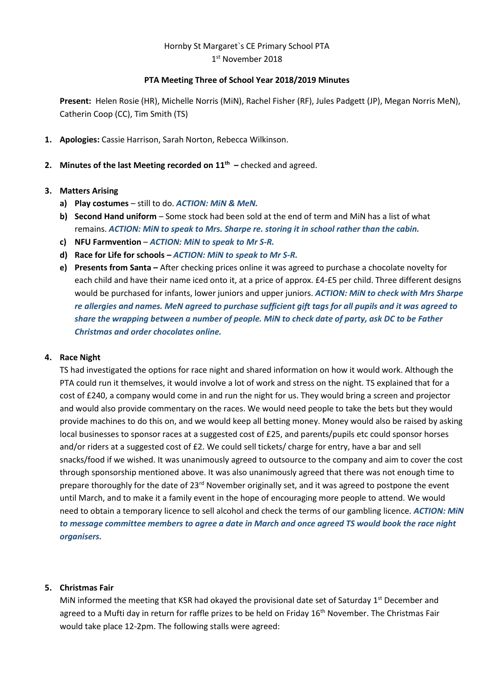# Hornby St Margaret`s CE Primary School PTA

1 st November 2018

### **PTA Meeting Three of School Year 2018/2019 Minutes**

**Present:** Helen Rosie (HR), Michelle Norris (MiN), Rachel Fisher (RF), Jules Padgett (JP), Megan Norris MeN), Catherin Coop (CC), Tim Smith (TS)

- **1. Apologies:** Cassie Harrison, Sarah Norton, Rebecca Wilkinson.
- **2. Minutes of the last Meeting recorded on 11th –** checked and agreed.

## **3. Matters Arising**

- **a) Play costumes** still to do. *ACTION: MiN & MeN.*
- **b) Second Hand uniform** Some stock had been sold at the end of term and MiN has a list of what remains. *ACTION: MiN to speak to Mrs. Sharpe re. storing it in school rather than the cabin.*
- **c) NFU Farmvention**  *ACTION: MiN to speak to Mr S-R.*
- **d) Race for Life for schools –** *ACTION: MiN to speak to Mr S-R.*
- **e) Presents from Santa –** After checking prices online it was agreed to purchase a chocolate novelty for each child and have their name iced onto it, at a price of approx. £4-£5 per child. Three different designs would be purchased for infants, lower juniors and upper juniors. *ACTION: MiN to check with Mrs Sharpe re allergies and names. MeN agreed to purchase sufficient gift tags for all pupils and it was agreed to share the wrapping between a number of people. MiN to check date of party, ask DC to be Father Christmas and order chocolates online.*

### **4. Race Night**

TS had investigated the options for race night and shared information on how it would work. Although the PTA could run it themselves, it would involve a lot of work and stress on the night. TS explained that for a cost of £240, a company would come in and run the night for us. They would bring a screen and projector and would also provide commentary on the races. We would need people to take the bets but they would provide machines to do this on, and we would keep all betting money. Money would also be raised by asking local businesses to sponsor races at a suggested cost of £25, and parents/pupils etc could sponsor horses and/or riders at a suggested cost of £2. We could sell tickets/ charge for entry, have a bar and sell snacks/food if we wished. It was unanimously agreed to outsource to the company and aim to cover the cost through sponsorship mentioned above. It was also unanimously agreed that there was not enough time to prepare thoroughly for the date of 23<sup>rd</sup> November originally set, and it was agreed to postpone the event until March, and to make it a family event in the hope of encouraging more people to attend. We would need to obtain a temporary licence to sell alcohol and check the terms of our gambling licence. *ACTION: MiN to message committee members to agree a date in March and once agreed TS would book the race night organisers.*

## **5. Christmas Fair**

MiN informed the meeting that KSR had okayed the provisional date set of Saturday 1<sup>st</sup> December and agreed to a Mufti day in return for raffle prizes to be held on Friday 16<sup>th</sup> November. The Christmas Fair would take place 12-2pm. The following stalls were agreed: